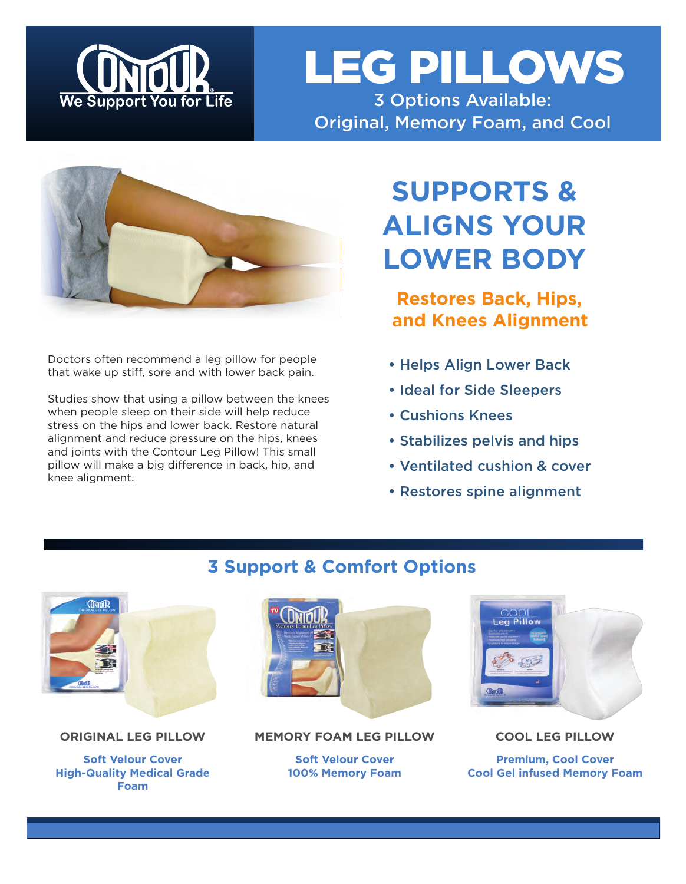

# LEG PILLOWS 3 Options Available:

Original, Memory Foam, and Cool

Doctors often recommend a leg pillow for people that wake up stiff, sore and with lower back pain.

Studies show that using a pillow between the knees when people sleep on their side will help reduce stress on the hips and lower back. Restore natural alignment and reduce pressure on the hips, knees and joints with the Contour Leg Pillow! This small pillow will make a big difference in back, hip, and knee alignment.

# **SUPPORTS & ALIGNS YOUR LOWER BODY**

**Restores Back, Hips, and Knees Alignment**

- Helps Align Lower Back
- Ideal for Side Sleepers
- Cushions Knees
- Stabilizes pelvis and hips
- Ventilated cushion & cover
- Restores spine alignment



#### **ORIGINAL LEG PILLOW**

**Soft Velour Cover High-Quality Medical Grade Foam**



#### **MEMORY FOAM LEG PILLOW**

**Soft Velour Cover 100% Memory Foam**



**COOL LEG PILLOW**

**Premium, Cool Cover Cool Gel infused Memory Foam**

## **3 Support & Comfort Options**